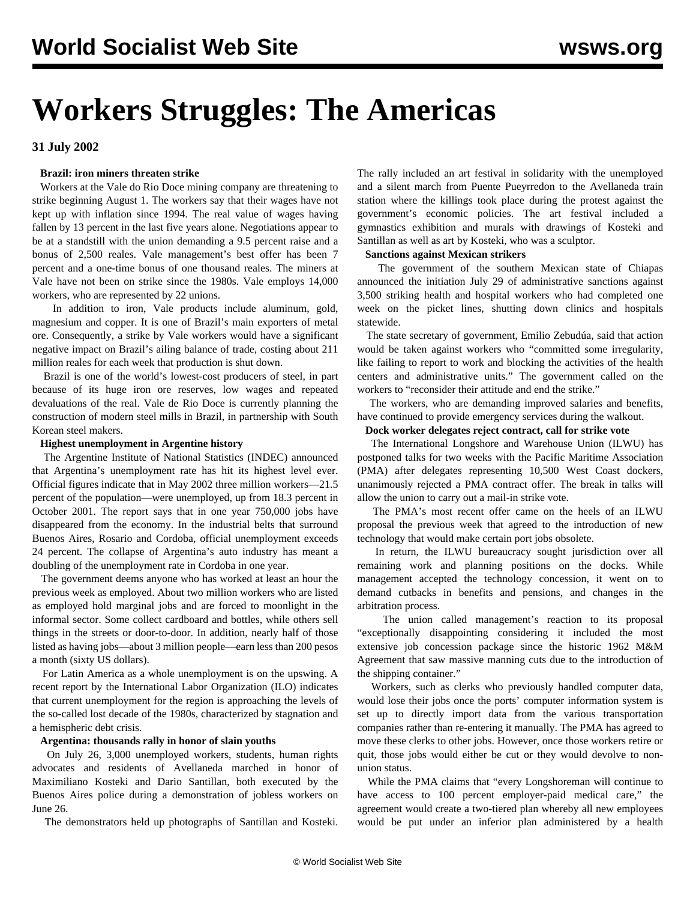# **Workers Struggles: The Americas**

**31 July 2002**

# **Brazil: iron miners threaten strike**

 Workers at the Vale do Rio Doce mining company are threatening to strike beginning August 1. The workers say that their wages have not kept up with inflation since 1994. The real value of wages having fallen by 13 percent in the last five years alone. Negotiations appear to be at a standstill with the union demanding a 9.5 percent raise and a bonus of 2,500 reales. Vale management's best offer has been 7 percent and a one-time bonus of one thousand reales. The miners at Vale have not been on strike since the 1980s. Vale employs 14,000 workers, who are represented by 22 unions.

 In addition to iron, Vale products include aluminum, gold, magnesium and copper. It is one of Brazil's main exporters of metal ore. Consequently, a strike by Vale workers would have a significant negative impact on Brazil's ailing balance of trade, costing about 211 million reales for each week that production is shut down.

 Brazil is one of the world's lowest-cost producers of steel, in part because of its huge iron ore reserves, low wages and repeated devaluations of the real. Vale de Rio Doce is currently planning the construction of modern steel mills in Brazil, in partnership with South Korean steel makers.

# **Highest unemployment in Argentine history**

 The Argentine Institute of National Statistics (INDEC) announced that Argentina's unemployment rate has hit its highest level ever. Official figures indicate that in May 2002 three million workers—21.5 percent of the population—were unemployed, up from 18.3 percent in October 2001. The report says that in one year 750,000 jobs have disappeared from the economy. In the industrial belts that surround Buenos Aires, Rosario and Cordoba, official unemployment exceeds 24 percent. The collapse of Argentina's auto industry has meant a doubling of the unemployment rate in Cordoba in one year.

 The government deems anyone who has worked at least an hour the previous week as employed. About two million workers who are listed as employed hold marginal jobs and are forced to moonlight in the informal sector. Some collect cardboard and bottles, while others sell things in the streets or door-to-door. In addition, nearly half of those listed as having jobs—about 3 million people—earn less than 200 pesos a month (sixty US dollars).

 For Latin America as a whole unemployment is on the upswing. A recent report by the International Labor Organization (ILO) indicates that current unemployment for the region is approaching the levels of the so-called lost decade of the 1980s, characterized by stagnation and a hemispheric debt crisis.

# **Argentina: thousands rally in honor of slain youths**

 On July 26, 3,000 unemployed workers, students, human rights advocates and residents of Avellaneda marched in honor of Maximiliano Kosteki and Dario Santillan, both executed by the Buenos Aires police during a demonstration of jobless workers on June 26.

The demonstrators held up photographs of Santillan and Kosteki.

The rally included an art festival in solidarity with the unemployed and a silent march from Puente Pueyrredon to the Avellaneda train station where the killings took place during the protest against the government's economic policies. The art festival included a gymnastics exhibition and murals with drawings of Kosteki and Santillan as well as art by Kosteki, who was a sculptor.

# **Sanctions against Mexican strikers**

 The government of the southern Mexican state of Chiapas announced the initiation July 29 of administrative sanctions against 3,500 striking health and hospital workers who had completed one week on the picket lines, shutting down clinics and hospitals statewide.

 The state secretary of government, Emilio Zebudúa, said that action would be taken against workers who "committed some irregularity, like failing to report to work and blocking the activities of the health centers and administrative units." The government called on the workers to "reconsider their attitude and end the strike."

 The workers, who are demanding improved salaries and benefits, have continued to provide emergency services during the walkout.

# **Dock worker delegates reject contract, call for strike vote**

 The International Longshore and Warehouse Union (ILWU) has postponed talks for two weeks with the Pacific Maritime Association (PMA) after delegates representing 10,500 West Coast dockers, unanimously rejected a PMA contract offer. The break in talks will allow the union to carry out a mail-in strike vote.

 The PMA's most recent offer came on the heels of an ILWU proposal the previous week that agreed to the introduction of new technology that would make certain port jobs obsolete.

 In return, the ILWU bureaucracy sought jurisdiction over all remaining work and planning positions on the docks. While management accepted the technology concession, it went on to demand cutbacks in benefits and pensions, and changes in the arbitration process.

 The union called management's reaction to its proposal "exceptionally disappointing considering it included the most extensive job concession package since the historic 1962 M&M Agreement that saw massive manning cuts due to the introduction of the shipping container."

 Workers, such as clerks who previously handled computer data, would lose their jobs once the ports' computer information system is set up to directly import data from the various transportation companies rather than re-entering it manually. The PMA has agreed to move these clerks to other jobs. However, once those workers retire or quit, those jobs would either be cut or they would devolve to nonunion status.

 While the PMA claims that "every Longshoreman will continue to have access to 100 percent employer-paid medical care," the agreement would create a two-tiered plan whereby all new employees would be put under an inferior plan administered by a health